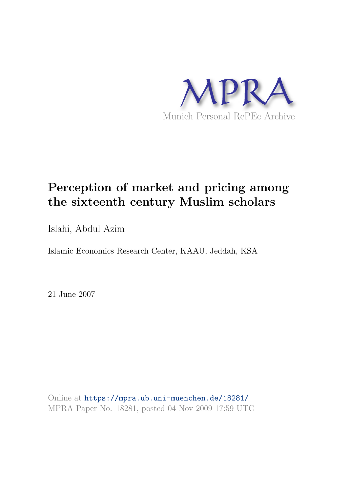

# **Perception of market and pricing among the sixteenth century Muslim scholars**

Islahi, Abdul Azim

Islamic Economics Research Center, KAAU, Jeddah, KSA

21 June 2007

Online at https://mpra.ub.uni-muenchen.de/18281/ MPRA Paper No. 18281, posted 04 Nov 2009 17:59 UTC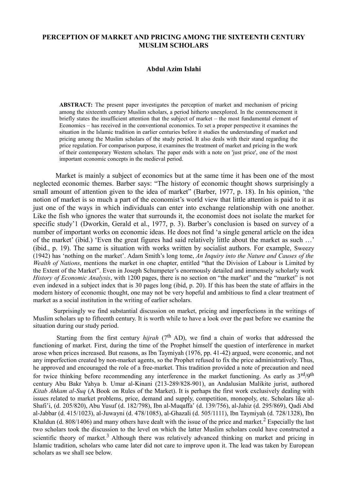# **PERCEPTION OF MARKET AND PRICING AMONG THE SIXTEENTH CENTURY MUSLIM SCHOLARS**

### **Abdul Azim Islahi**

**ABSTRACT:** The present paper investigates the perception of market and mechanism of pricing among the sixteenth century Muslim scholars, a period hitherto unexplored. In the commencement it briefly states the insufficient attention that the subject of market – the most fundamental element of Economics – has received in the conventional economics. To set a proper perspective it examines the situation in the Islamic tradition in earlier centuries before it studies the understanding of market and pricing among the Muslim scholars of the study period. It also deals with their stand regarding the price regulation. For comparison purpose, it examines the treatment of market and pricing in the work of their contemporary Western scholars. The paper ends with a note on 'just price', one of the most important economic concepts in the medieval period.

 Market is mainly a subject of economics but at the same time it has been one of the most neglected economic themes. Barber says: "The history of economic thought shows surprisingly a small amount of attention given to the idea of market" (Barber, 1977, p. 18). In his opinion, 'the notion of market is so much a part of the economist's world view that little attention is paid to it as just one of the ways in which individuals can enter into exchange relationship with one another. Like the fish who ignores the water that surrounds it, the economist does not isolate the market for specific study'1 (Dworkin, Gerald et al., 1977, p. 3). Barber's conclusion is based on survey of a number of important works on economic ideas. He does not find 'a single general article on the idea of the market' (ibid.) 'Even the great figures had said relatively little about the market as such …' (ibid., p. 19). The same is situation with works written by socialist authors. For example, Sweezy (1942) has 'nothing on the market'. Adam Smith's long tome, *An Inquiry into the Nature and Causes of the Wealth of Nations*, mentions the market in one chapter, entitled "that the Division of Labour is Limited by the Extent of the Market". Even in Joseph Schumpeter's enormously detailed and immensely scholarly work *History of Economic Analysis*, with 1200 pages, there is no section on "the market" and the "market" is not even indexed in a subject index that is 30 pages long (ibid, p. 20). If this has been the state of affairs in the modern history of economic thought, one may not be very hopeful and ambitious to find a clear treatment of market as a social institution in the writing of earlier scholars.

Surprisingly we find substantial discussion on market, pricing and imperfections in the writings of Muslim scholars up to fifteenth century. It is worth while to have a look over the past before we examine the situation during our study period.

Starting from the first century *hijrah* (7<sup>th</sup> AD), we find a chain of works that addressed the functioning of market. First, during the time of the Prophet himself the question of interference in market arose when prices increased. But reasons, as Ibn Taymiyah (1976, pp. 41-42) argued, were economic, and not any imperfection created by non-market agents, so the Prophet refused to fix the price administratively. Thus, he approved and encouraged the role of a free-market. This tradition provided a note of precaution and need for twice thinking before recommending any interference in the market functioning. As early as  $3^{\text{rd}}/9^{\text{th}}$ century Abu Bakr Yahya b. Umar al-Kinani (213-289/828-901), an Andalusian Malikite jurist, authored *Kitab Ahkam al-Suq* (A Book on Rules of the Market). It is perhaps the first work exclusively dealing with issues related to market problems, price, demand and supply, competition, monopoly, etc. Scholars like al-Shafi'i, (d. 205/820), Abu Yusuf (d. 182/798), Ibn al-Muqaffa' (d. 139/756), al-Jahiz (d. 295/869), Qadi Abd al-Jabbar (d. 415/1023), al-Juwayni (d. 478/1085), al-Ghazali (d. 505/1111), Ibn Taymiyah (d. 728/1328), Ibn Khaldun (d. 808/1406) and many others have dealt with the issue of the price and market.<sup>2</sup> Especially the last two scholars took the discussion to the level on which the latter Muslim scholars could have constructed a scientific theory of market.<sup>3</sup> Although there was relatively advanced thinking on market and pricing in Islamic tradition, scholars who came later did not care to improve upon it. The lead was taken by European scholars as we shall see below.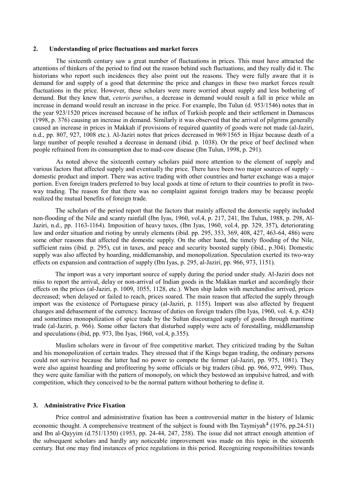#### **2. Understanding of price fluctuations and market forces**

 The sixteenth century saw a great number of fluctuations in prices. This must have attracted the attentions of thinkers of the period to find out the reason behind such fluctuations, and they really did it. The historians who report such incidences they also point out the reasons. They were fully aware that it is demand for and supply of a good that determine the price and changes in these two market forces result fluctuations in the price. However, these scholars were more worried about supply and less bothering of demand. But they knew that, *ceteris paribus*, a decrease in demand would result a fall in price while an increase in demand would result an increase in the price. For example, Ibn Tulun (d. 953/1546) notes that in the year 923/1520 prices increased because of he influx of Turkish people and their settlement in Damascus (1998, p. 376) causing an increase in demand. Similarly it was observed that the arrival of pilgrims generally caused an increase in prices in Makkah if provisions of required quantity of goods were not made (al-Jaziri, n.d., pp. 807, 927, 1008 etc.). Al-Jaziri notes that prices decreased in 969/1565 in Hijaz because death of a large number of people resulted a decrease in demand (ibid. p. 1038). Or the price of beef declined when people refrained from its consumption due to mad-cow disease (Ibn Tulun, 1998, p. 291).

 As noted above the sixteenth century scholars paid more attention to the element of supply and various factors that affected supply and eventually the price. There have been two major sources of supply – domestic product and import. There was active trading with other countries and barter exchange was a major portion. Even foreign traders preferred to buy local goods at time of return to their countries to profit in twoway trading. The reason for that there was no complaint against foreign traders may be because people realized the mutual benefits of foreign trade.

 The scholars of the period report that the factors that mainly affected the domestic supply included non-flooding of the Nile and scanty rainfall (Ibn Iyas, 1960, vol.4, p. 217, 241, Ibn Tulun, 1988, p. 298, Al-Jaziri, n.d., pp. 1163-1164). Imposition of heavy taxes, (Ibn Iyas, 1960, vol.4, pp. 329, 357), deteriorating law and order situation and rioting by unruly elements (ibid. pp. 295, 353, 369, 408, 427, 463-64, 486) were some other reasons that affected the domestic supply. On the other hand, the timely flooding of the Nile, sufficient rains (ibid. p. 295), cut in taxes, and peace and security boosted supply (ibid., p.304). Domestic supply was also affected by hoarding, middlemanship, and monopolization. Speculation exerted its two-way effects on expansion and contraction of supply (Ibn Iyas, p. 295, al-Jaziri, pp. 966, 973, 1151).

 The import was a very important source of supply during the period under study. Al-Jaziri does not miss to report the arrival, delay or non-arrival of Indian goods in the Makkan market and accordingly their effects on the prices (al-Jaziri, p. 1009, 1055, 1128, etc.). When ship laden with merchandise arrived, prices decreased; when delayed or failed to reach, prices soared. The main reason that affected the supply through import was the existence of Portuguese piracy (al-Jaziri, p. 1155). Import was also affected by frequent changes and debasement of the currency. Increase of duties on foreign traders (Ibn Iyas, 1960, vol. 4, p. 424) and sometimes monopolization of spice trade by the Sultan discouraged supply of goods through maritime trade (al-Jaziri, p. 966). Some other factors that disturbed supply were acts of forestalling, middlemanship and speculations (ibid, pp. 973, Ibn Iyas, 1960, vol.4, p.355).

 Muslim scholars were in favour of free competitive market. They criticized trading by the Sultan and his monopolization of certain trades. They stressed that if the Kings began trading, the ordinary persons could not survive because the latter had no power to compete the former (al-Jaziri, pp. 975, 1081). They were also against hoarding and profiteering by some officials or big traders (ibid. pp. 966, 972, 999). Thus, they were quite familiar with the pattern of monopoly, on which they bestowed an impulsive hatred, and with competition, which they conceived to be the normal pattern without bothering to define it.

### **3. Administrative Price Fixation**

 Price control and administrative fixation has been a controversial matter in the history of Islamic economic thought. A comprehensive treatment of the subject is found with Ibn Taymiyah<sup>4</sup> (1976, pp.24-51) and Ibn al-Qayyim (d.751/1350) (1953, pp. 24-44, 247, 258). The issue did not attract enough attention of the subsequent scholars and hardly any noticeable improvement was made on this topic in the sixteenth century. But one may find instances of price regulations in this period. Recognizing responsibilities towards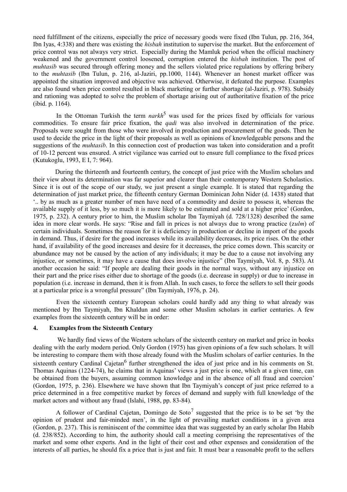need fulfillment of the citizens, especially the price of necessary goods were fixed (Ibn Tulun, pp. 216, 364, Ibn Iyas, 4:338) and there was existing the *hisbah* institution to supervise the market. But the enforcement of price control was not always very strict. Especially during the Mamluk period when the official machinery weakened and the government control loosened, corruption entered the *hisbah* institution. The post of *muhtasib* was secured through offering money and the sellers violated price regulations by offering bribery to the *muhtasib* (Ibn Tulun, p. 216, al-Jaziri, pp.1000, 1144). Whenever an honest market officer was appointed the situation improved and objective was achieved. Otherwise, it defeated the purpose. Examples are also found when price control resulted in black marketing or further shortage (al-Jaziri, p. 978). Subsidy and rationing was adopted to solve the problem of shortage arising out of authoritative fixation of the price (ibid. p. 1164).

In the Ottoman Turkish the term *narkh*<sup>5</sup> was used for the prices fixed by officials for various commodities. To ensure fair price fixation, the *qadi* was also involved in determination of the price. Proposals were sought from those who were involved in production and procurement of the goods. Then he used to decide the price in the light of their proposals as well as opinions of knowledgeable persons and the suggestions of the *muhtasib*. In this connection cost of production was taken into consideration and a profit of 10-12 percent was ensured. A strict vigilance was carried out to ensure full compliance to the fixed prices (Kutukoglu, 1993, E I, 7: 964).

 During the thirteenth and fourteenth century, the concept of just price with the Muslim scholars and their view about its determination was far superior and clearer than their contemporary Western Scholastics. Since it is out of the scope of our study, we just present a single example. It is stated that regarding the determination of just market price, the fifteenth century German Dominican John Nider (d. 1438) stated that '.. by as much as a greater number of men have need of a commodity and desire to possess it, whereas the available supply of it less, by so much it is more likely to be estimated and sold at a higher price' (Gordon, 1975, p. 232). A century prior to him, the Muslim scholar Ibn Taymiyah (d. 728/1328) described the same idea in more clear words. He says: "Rise and fall in prices is not always due to wrong practice (z*ulm*) of certain individuals. Sometimes the reason for it is deficiency in production or decline in import of the goods in demand. Thus, if desire for the good increases while its availability decreases, its price rises. On the other hand, if availability of the good increases and desire for it decreases, the price comes down. This scarcity or abundance may not be caused by the action of any individuals; it may be due to a cause not involving any injustice, or sometimes, it may have a cause that does involve injustice" (Ibn Taymiyah, Vol. 8, p. 583). At another occasion he said: "If people are dealing their goods in the normal ways, without any injustice on their part and the price rises either due to shortage of the goods (i.e. decrease in supply) or due to increase in population (i.e. increase in demand, then it is from Allah. In such cases, to force the sellers to sell their goods at a particular price is a wrongful pressure" (Ibn Taymiyah, 1976, p. 24).

 Even the sixteenth century European scholars could hardly add any thing to what already was mentioned by Ibn Taymiyah, Ibn Khaldun and some other Muslim scholars in earlier centuries. A few examples from the sixteenth century will be in order:

#### **4. Examples from the Sixteenth Century**

 We hardly find views of the Western scholars of the sixteenth century on market and price in books dealing with the early modern period. Only Gordon (1975) has given opinions of a few such scholars. It will be interesting to compare them with those already found with the Muslim scholars of earlier centuries. In the sixteenth century Cardinal Cajetan<sup>6</sup> further strengthened the idea of just price and in his comments on St. Thomas Aquinas (1224-74), he claims that in Aquinas' views a just price is one, which at a given time, can be obtained from the buyers, assuming common knowledge and in the absence of all fraud and coercion' (Gordon, 1975, p. 236). Elsewhere we have shown that Ibn Taymiyah's concept of just price referred to a price determined in a free competitive market by forces of demand and supply with full knowledge of the market actors and without any fraud (Islahi, 1988, pp. 83-84).

A follower of Cardinal Cajetan, Domingo de Soto<sup>7</sup> suggested that the price is to be set 'by the opinion of prudent and fair-minded men', in the light of prevailing market conditions in a given area (Gordon, p. 237). This is reminiscent of the committee idea that was suggested by an early scholar Ibn Habib (d. 238/852). According to him, the authority should call a meeting comprising the representatives of the market and some other experts. And in the light of their cost and other expenses and consideration of the interests of all parties, he should fix a price that is just and fair. It must bear a reasonable profit to the sellers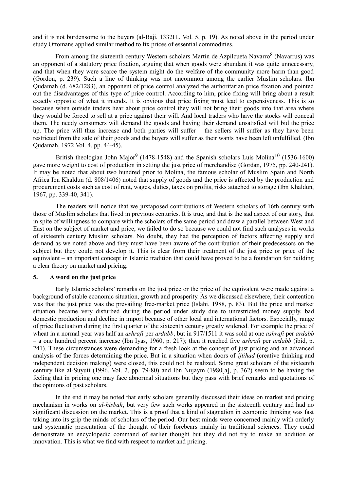and it is not burdensome to the buyers (al-Baji, 1332H., Vol. 5, p. 19). As noted above in the period under study Ottomans applied similar method to fix prices of essential commodities.

From among the sixteenth century Western scholars Martin de Azpilcueta Navarro<sup>8</sup> (Navarrus) was an opponent of a statutory price fixation, arguing that when goods were abundant it was quite unnecessary, and that when they were scarce the system might do the welfare of the community more harm than good (Gordon, p. 239). Such a line of thinking was not uncommon among the earlier Muslim scholars. Ibn Qudamah (d. 682/1283), an opponent of price control analyzed the authoritarian price fixation and pointed out the disadvantages of this type of price control. According to him, price fixing will bring about a result exactly opposite of what it intends. It is obvious that price fixing must lead to expensiveness. This is so because when outside traders hear about price control they will not bring their goods into that area where they would be forced to sell at a price against their will. And local traders who have the stocks will conceal them. The needy consumers will demand the goods and having their demand unsatisfied will bid the price up. The price will thus increase and both parties will suffer – the sellers will suffer as they have been restricted from the sale of their goods and the buyers will suffer as their wants have been left unfulfilled. (Ibn Qudamah, 1972 Vol. 4, pp. 44-45).

British theologian John Major<sup>9</sup> (1478-1548) and the Spanish scholars Luis Molina<sup>10</sup> (1536-1600) gave more weight to cost of production in setting the just price of merchandise (Gordan, 1975, pp. 240-241). It may be noted that about two hundred prior to Molina, the famous scholar of Muslim Spain and North Africa Ibn Khaldun (d. 808/1406) noted that supply of goods and the price is affected by the production and procurement costs such as cost of rent, wages, duties, taxes on profits, risks attached to storage (Ibn Khaldun, 1967, pp. 339-40, 341).

 The readers will notice that we juxtaposed contributions of Western scholars of 16th century with those of Muslim scholars that lived in previous centuries. It is true, and that is the sad aspect of our story, that in spite of willingness to compare with the scholars of the same period and draw a parallel between West and East on the subject of market and price, we failed to do so because we could not find such analyses in works of sixteenth century Muslim scholars. No doubt, they had the perception of factors affecting supply and demand as we noted above and they must have been aware of the contribution of their predecessors on the subject but they could not develop it. This is clear from their treatment of the just price or price of the equivalent – an important concept in Islamic tradition that could have proved to be a foundation for building a clear theory on market and pricing.

## **5. A word on the just price**

 Early Islamic scholars' remarks on the just price or the price of the equivalent were made against a background of stable economic situation, growth and prosperity. As we discussed elsewhere, their contention was that the just price was the prevailing free-market price (Islahi, 1988, p. 83). But the price and market situation became very disturbed during the period under study due to unrestricted money supply, bad domestic production and decline in import because of other local and international factors. Especially, range of price fluctuation during the first quarter of the sixteenth century greatly widened. For example the price of wheat in a normal year was half an *ashrafi* per *ardabb*, but in 917/1511 it was sold at one *ashrafi* per *ardabb*  – a one hundred percent increase (Ibn Iyas, 1960, p. 217); then it reached five *ashrafi* per *ardabb* (ibid, p. 241). These circumstances were demanding for a fresh look at the concept of just pricing and an advanced analysis of the forces determining the price. But in a situation when doors of *ijtihad* (creative thinking and independent decision making) were closed, this could not be realized. Some great scholars of the sixteenth century like al-Suyuti (1996, Vol. 2, pp. 79-80) and Ibn Nujaym (1980[a], p. 362) seem to be having the feeling that in pricing one may face abnormal situations but they pass with brief remarks and quotations of the opinions of past scholars.

 In the end it may be noted that early scholars generally discussed their ideas on market and pricing mechanism in works on *al-hisbah*, but very few such works appeared in the sixteenth century and had no significant discussion on the market. This is a proof that a kind of stagnation in economic thinking was fast taking into its grip the minds of scholars of the period. Our best minds were concerned mainly with orderly and systematic presentation of the thought of their forebears mainly in traditional sciences. They could demonstrate an encyclopedic command of earlier thought but they did not try to make an addition or innovation. This is what we find with respect to market and pricing.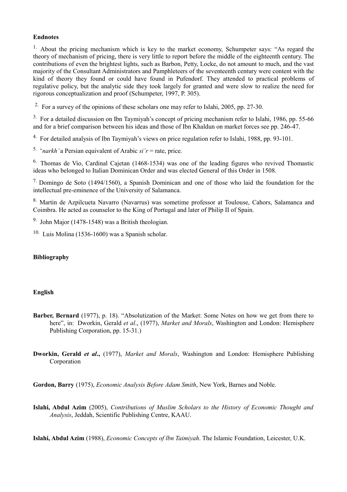# **Endnotes**

<sup>1.</sup> About the pricing mechanism which is key to the market economy, Schumpeter says: "As regard the theory of mechanism of pricing, there is very little to report before the middle of the eighteenth century. The contributions of even the brightest lights, such as Barbon, Petty, Locke, do not amount to much, and the vast majority of the Consultant Administrators and Pamphleteers of the seventeenth century were content with the kind of theory they found or could have found in Pufendorf. They attended to practical problems of regulative policy, but the analytic side they took largely for granted and were slow to realize the need for rigorous conceptualization and proof (Schumpeter, 1997, P. 305).

<sup>2.</sup> For a survey of the opinions of these scholars one may refer to Islahi, 2005, pp. 27-30.

<sup>3.</sup> For a detailed discussion on Ibn Taymiyah's concept of pricing mechanism refer to Islahi, 1986, pp. 55-66 and for a brief comparison between his ideas and those of Ibn Khaldun on market forces see pp. 246-47.

<sup>4.</sup> For detailed analysis of Ibn Taymiyah's views on price regulation refer to Islahi, 1988, pp. 93-101.

<sup>5.</sup> '*narkh*' a Persian equivalent of Arabic  $si'r$  = rate, price.

<sup>6.</sup> Thomas de Vio, Cardinal Cajetan (1468-1534) was one of the leading figures who revived Thomastic ideas who belonged to Italian Dominican Order and was elected General of this Order in 1508.

<sup>7.</sup> Domingo de Soto (1494/1560), a Spanish Dominican and one of those who laid the foundation for the intellectual pre-eminence of the University of Salamanca.

8. Martin de Azpilcueta Navarro (Navarrus) was sometime professor at Toulouse, Cahors, Salamanca and Coimbra. He acted as counselor to the King of Portugal and later of Philip II of Spain.

9. John Major (1478-1548) was a British theologian.

 $10.$  Luis Molina (1536-1600) was a Spanish scholar.

# **Bibliography**

# **English**

**Barber, Bernard** (1977), p. 18). "Absolutization of the Market: Some Notes on how we get from there to here", in: Dworkin, Gerald *et al*., (1977), *Market and Morals*, Washington and London: Hemisphere Publishing Corporation, pp. 15-31.)

**Dworkin, Gerald** *et al***.,** (1977), *Market and Morals*, Washington and London: Hemisphere Publishing Corporation

**Gordon, Barry** (1975), *Economic Analysis Before Adam Smith*, New York, Barnes and Noble.

**Islahi, Abdul Azim** (2005), *Contributions of Muslim Scholars to the History of Economic Thought and Analysis*, Jeddah, Scientific Publishing Centre, KAAU.

**Islahi, Abdul Azim** (1988), *Economic Concepts of lbn Taimiyah*. The Islamic Foundation, Leicester, U.K.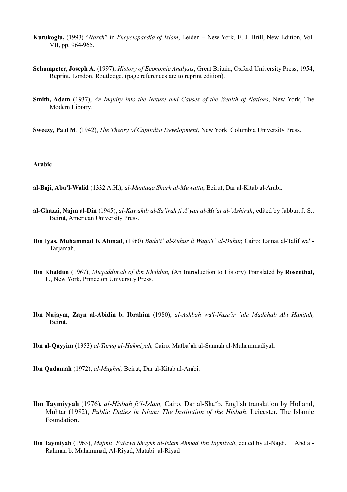- **Kutukoglu,** (1993) "*Narkh*" in *Encyclopaedia of Islam*, Leiden New York, E. J. Brill, New Edition, Vol. VII, pp. 964-965.
- **Schumpeter, Joseph A.** (1997), *History of Economic Analysis*, Great Britain, Oxford University Press, 1954, Reprint, London, Routledge. (page references are to reprint edition).
- **Smith, Adam** (1937), *An Inquiry into the Nature and Causes of the Wealth of Nations*, New York, The Modern Library.
- **Sweezy, Paul M**. (1942), *The Theory of Capitalist Development*, New York: Columbia University Press.

# **Arabic**

- **al-Baji, Abu'l-Walid** (1332 A.H.), *al-Muntaqa Sharh al-Muwatta*, Beirut, Dar al-Kitab al-Arabi.
- **al-Ghazzi, Najm al-Din** (1945), *al-Kawakib al-Sa'irah fi A`yan al-Mi'at al-`Ashirah*, edited by Jabbur, J. S., Beirut, American University Press.
- **Ibn Iyas, Muhammad b. Ahmad**, (1960) *Bada'i' al-Zuhur fi Waqa'i' al-Duhur,* Cairo: Lajnat al-Talif wa'l-Tarjamah.
- **Ibn Khaldun** (1967), *Muqaddimah of Ibn Khaldun,* (An Introduction to History) Translated by **Rosenthal, F**., New York, Princeton University Press.
- **Ibn Nujaym, Zayn al-Abidin b. Ibrahim** (1980), *al-Ashbah wa'l-Naza'ir `ala Madhhab Abi Hanifah,*  Beirut.
- **Ibn al-Qayyim** (1953) *al-Turuq al-Hukmiyah,* Cairo: Matba`ah al-Sunnah al-Muhammadiyah
- **Ibn Qudamah** (1972), *al-Mughni,* Beirut, Dar al-Kitab al-Arabi.
- **Ibn Taymiyyah** (1976), *al-Hisbah fi'l-Islam,* Cairo, Dar al-Sha'b. English translation by Holland, Muhtar (1982), *Public Duties in Islam: The Institution of the Hisbah*, Leicester, The Islamic Foundation.
- **Ibn Taymiyah** (1963), *Majmu` Fatawa Shaykh al-Islam Ahmad Ibn Taymiyah*, edited by al-Najdi, Abd al-Rahman b. Muhammad, Al-Riyad, Matabi` al-Riyad